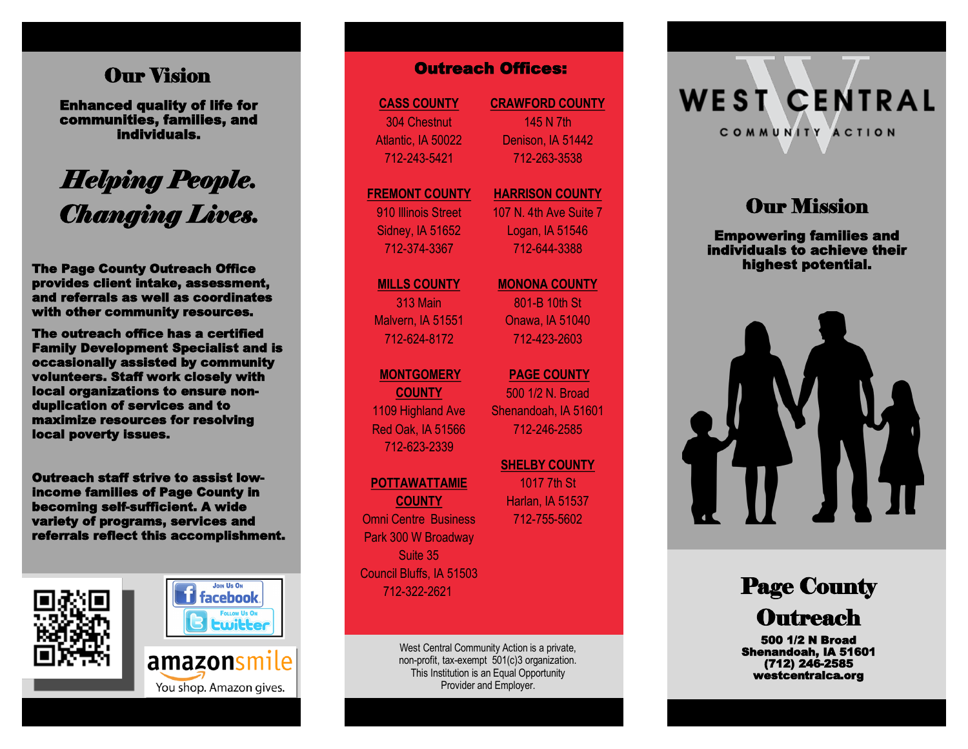# Our Vision

Enhanced quality of life for communities, families, and individuals.

# *Helping People. Changing Lives.*

The Page County Outreach Office provides client intake, assessment, and referrals as well as coordinates with other community resources.

The outreach office has a certified Family Development Specialist and is occasionally assisted by community volunteers. Staff work closely with local organizations to ensure nonduplication of services and to maximize resources for resolving local poverty issues.

Outreach staff strive to assist lowincome families of Page County in becoming self-sufficient. A wide variety of programs, services and referrals reflect this accomplishment.





**CASS COUNTY** 304 Chestnut Atlantic, IA 50022 712 -243 -5421

### **FREMONT COUNTY** 910 Illinois Street

Sidney, IA 51652 712 -374 -3367

# **MILLS COUNTY** 313 Main Malvern, IA 51551 712 -624 -8172

**MONTGOMERY**

**COUNTY** 1109 Highland Ave Red Oak, IA 51566 712 -623 -2339

### **POTTAWATTAMIE**

**COUNTY** Omni Centre Business Park 300 W Broadway Suite 35 Council Bluffs, IA 51503 712 -322 -2621

> West Central Community Action is a private, non -profit, tax -exempt 501(c)3 organization. This Institution is an Equal Opportunity Provider and Employer.

**CRAWFORD COUNTY** 145 N 7th Denison, IA 51442 712 -263 -3538

### **HARRISON COUNTY** 107 N. 4th Ave Suite 7

Logan, IA 51546 712 -644 -3388

# **MONONA COUNTY**

801 -B 10th St Onawa, IA 51040 712 -423 -2603

# **PAGE COUNTY**  500 1/2 N. Broad Shenandoah, IA 51601 712 -246 -2585 **COUNTY CRAWFORD COUNTY**<br>
Chestnut 145 N 7th<br>
145 N 7th<br>
145 N 7th<br>
145 N 7th<br>
145 N 7th<br>
145 N 7th<br>
145 N 7th<br>
145 N 7th<br>
145 N 7th<br>
172-263-3538<br>
NT COUNTY MARRISON COUI<br>
107 N. 4th Ave Su<br>
107 N. 4th Ave Su<br>
107 N. 4th

**SHELBY COUNTY**  1017 7th St Harlan, IA 51537 712 -755

# **WEST CENTRAL** COMMUNITY ACTION

# **Our Mission**

Empowering families and individuals to achieve their highest potential.



# Page County **Outreach**

500 1/2 N Broad Shenandoah, IA 51601 (712) 246-2585 westcentralca.org

You shop. Amazon gives.